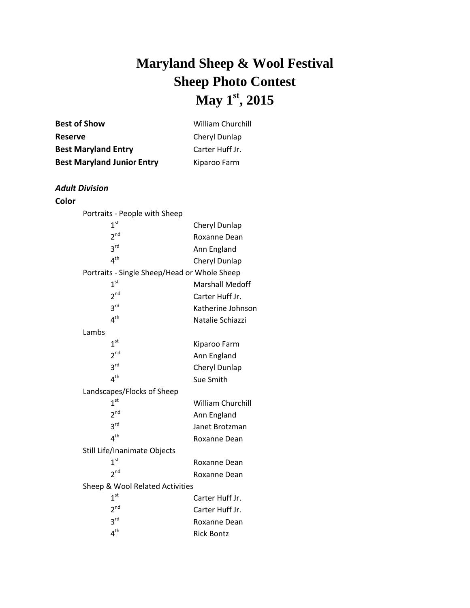# **Maryland Sheep & Wool Festival Sheep Photo Contest May 1 st , 2015**

| <b>Best of Show</b>               | <b>William Churchill</b> |
|-----------------------------------|--------------------------|
| <b>Reserve</b>                    | Cheryl Dunlap            |
| <b>Best Maryland Entry</b>        | Carter Huff Jr.          |
| <b>Best Maryland Junior Entry</b> | Kiparoo Farm             |

#### *Adult Division*

#### **Color**

| Portraits - People with Sheep                |                        |  |
|----------------------------------------------|------------------------|--|
| 1 <sup>st</sup>                              | Cheryl Dunlap          |  |
| 2 <sup>nd</sup>                              | Roxanne Dean           |  |
| 3rd                                          | Ann England            |  |
| 4 <sup>th</sup>                              | Cheryl Dunlap          |  |
| Portraits - Single Sheep/Head or Whole Sheep |                        |  |
| 1 <sup>st</sup>                              | <b>Marshall Medoff</b> |  |
| 2 <sup>nd</sup>                              | Carter Huff Jr.        |  |
| 3 <sup>rd</sup>                              | Katherine Johnson      |  |
| $4^{\text{th}}$                              | Natalie Schiazzi       |  |
| Lambs                                        |                        |  |
| 1 <sup>st</sup>                              | Kiparoo Farm           |  |
| 2 <sup>nd</sup>                              | Ann England            |  |
| $3^{\text{rd}}$                              | Cheryl Dunlap          |  |
| $4^{\text{th}}$                              | Sue Smith              |  |
| Landscapes/Flocks of Sheep                   |                        |  |
| 1 <sup>st</sup>                              | William Churchill      |  |
| 2 <sup>nd</sup>                              | Ann England            |  |
| 3 <sup>rd</sup>                              | Janet Brotzman         |  |
| 4 <sup>th</sup>                              | Roxanne Dean           |  |
| Still Life/Inanimate Objects                 |                        |  |
| 1 <sup>st</sup>                              | Roxanne Dean           |  |
| 2 <sup>nd</sup>                              | Roxanne Dean           |  |
| Sheep & Wool Related Activities              |                        |  |
| 1 <sup>st</sup>                              | Carter Huff Jr.        |  |
| $2^{nd}$                                     | Carter Huff Jr.        |  |
| 3 <sup>rd</sup>                              | Roxanne Dean           |  |
| 4 <sup>th</sup>                              | <b>Rick Bontz</b>      |  |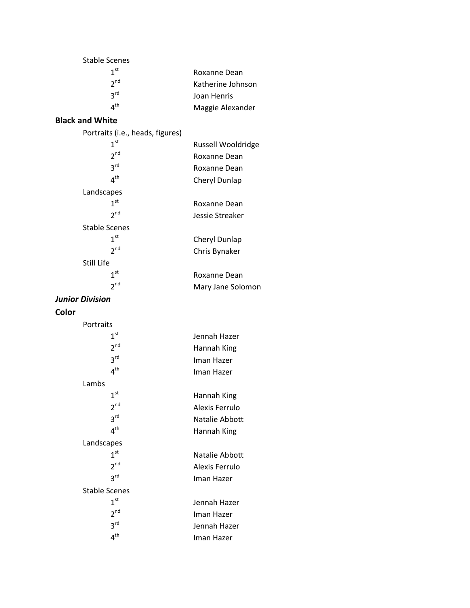| Stable Scenes   |                   |
|-----------------|-------------------|
| 1 <sup>st</sup> | Roxanne Dean      |
| 2 <sup>nd</sup> | Katherine Johnson |
| 2 <sup>rd</sup> | Joan Henris       |
| л <sup>th</sup> | Maggie Alexander  |

## **Black and White**

| Portraits (i.e., heads, figures) |                    |
|----------------------------------|--------------------|
| 1 <sup>st</sup>                  | Russell Wooldridge |
| 2 <sup>nd</sup>                  | Roxanne Dean       |
| $3^{\text{rd}}$                  | Roxanne Dean       |
| 4 <sup>th</sup>                  | Cheryl Dunlap      |
| Landscapes                       |                    |
| 1 <sup>st</sup>                  | Roxanne Dean       |
| 2 <sup>nd</sup>                  | Jessie Streaker    |
| <b>Stable Scenes</b>             |                    |
| 1 <sup>st</sup>                  | Cheryl Dunlap      |
| 2 <sup>nd</sup>                  | Chris Bynaker      |
| Still Life                       |                    |
| 1 <sup>st</sup>                  | Roxanne Dean       |
| 2 <sup>nd</sup>                  | Mary Jane Solomon  |

#### *Junior Division*

## **Color**

| Portraits            |                |
|----------------------|----------------|
| $1^{\rm st}$         | Jennah Hazer   |
| 2 <sup>nd</sup>      | Hannah King    |
| 3 <sup>rd</sup>      | Iman Hazer     |
| 4 <sup>th</sup>      | Iman Hazer     |
| Lambs                |                |
| 1 <sup>st</sup>      | Hannah King    |
| 2 <sup>nd</sup>      | Alexis Ferrulo |
| 3 <sup>rd</sup>      | Natalie Abbott |
| 4 <sup>th</sup>      | Hannah King    |
| Landscapes           |                |
| 1 <sup>st</sup>      | Natalie Abbott |
| 2 <sup>nd</sup>      | Alexis Ferrulo |
| 3 <sup>rd</sup>      | Iman Hazer     |
| <b>Stable Scenes</b> |                |
| 1 <sup>st</sup>      | Jennah Hazer   |
| 2 <sup>nd</sup>      | Iman Hazer     |
| 3 <sup>rd</sup>      | Jennah Hazer   |
| 4 <sup>th</sup>      | Iman Hazer     |